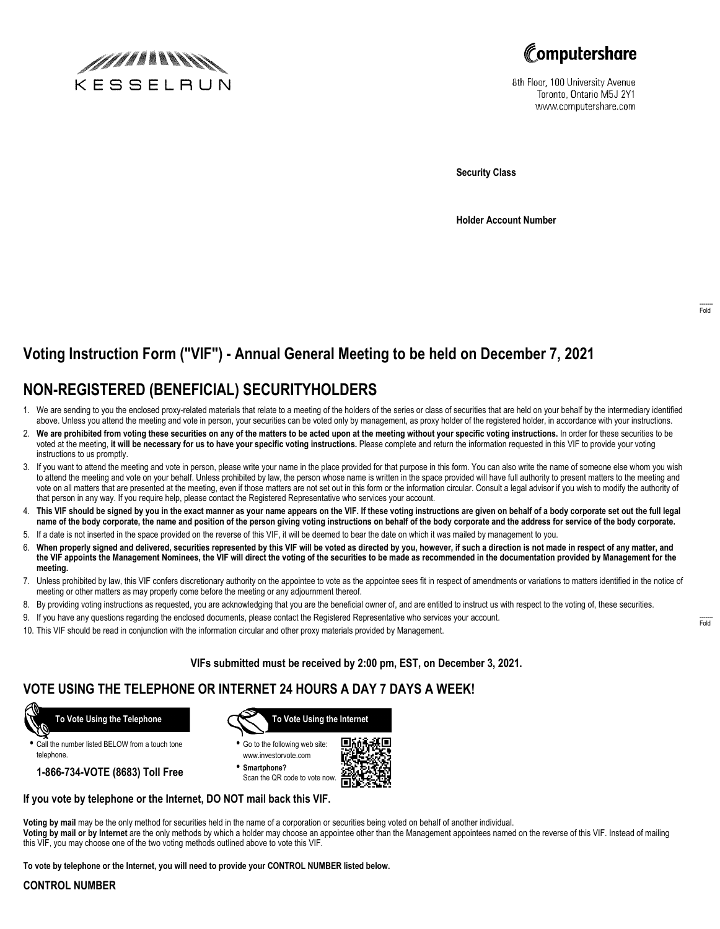



8th Floor, 100 University Avenue Toronto, Ontario M5J 2Y1 www.computershare.com

**Security Class**

**Holder Account Number**

# **Voting Instruction Form ("VIF") - Annual General Meeting to be held on December 7, 2021**

### **NON-REGISTERED (BENEFICIAL) SECURITYHOLDERS**

- 1. We are sending to you the enclosed proxy-related materials that relate to a meeting of the holders of the series or class of securities that are held on your behalf by the intermediary identified above. Unless you attend the meeting and vote in person, your securities can be voted only by management, as proxy holder of the registered holder, in accordance with your instructions.
- 2. **We are prohibited from voting these securities on any of the matters to be acted upon at the meeting without your specific voting instructions.** In order for these securities to be voted at the meeting, **it will be necessary for us to have your specific voting instructions.** Please complete and return the information requested in this VIF to provide your voting instructions to us promptly.
- 3. If you want to attend the meeting and vote in person, please write your name in the place provided for that purpose in this form. You can also write the name of someone else whom you wish to attend the meeting and vote on your behalf. Unless prohibited by law, the person whose name is written in the space provided will have full authority to present matters to the meeting and vote on all matters that are presented at the meeting, even if those matters are not set out in this form or the information circular. Consult a legal advisor if you wish to modify the authority of that person in any way. If you require help, please contact the Registered Representative who services your account.
- 4. **This VIF should be signed by you in the exact manner as your name appears on the VIF. If these voting instructions are given on behalf of a body corporate set out the full legal name of the body corporate, the name and position of the person giving voting instructions on behalf of the body corporate and the address for service of the body corporate.**
- 5. If a date is not inserted in the space provided on the reverse of this VIF, it will be deemed to bear the date on which it was mailed by management to you.
- 6. **When properly signed and delivered, securities represented by this VIF will be voted as directed by you, however, if such a direction is not made in respect of any matter, and the VIF appoints the Management Nominees, the VIF will direct the voting of the securities to be made as recommended in the documentation provided by Management for the meeting.**
- 7. Unless prohibited by law, this VIF confers discretionary authority on the appointee to vote as the appointee sees fit in respect of amendments or variations to matters identified in the notice of meeting or other matters as may properly come before the meeting or any adjournment thereof.
- 8. By providing voting instructions as requested, you are acknowledging that you are the beneficial owner of, and are entitled to instruct us with respect to the voting of, these securities.
- 9. If you have any questions regarding the enclosed documents, please contact the Registered Representative who services your account.
- 10. This VIF should be read in conjunction with the information circular and other proxy materials provided by Management.

**VIFs submitted must be received by 2:00 pm, EST, on December 3, 2021.**

### **VOTE USING THE TELEPHONE OR INTERNET 24 HOURS A DAY 7 DAYS A WEEK!**



**•** Call the number listed BELOW from a touch tone telephone.

**1-866-734-VOTE (8683) Toll Free**



**•** Go to the following web site: www.investorvote.com

**• Smartphone?** Scan the QR code to vote now.



#### **If you vote by telephone or the Internet, DO NOT mail back this VIF.**

**Voting by mail** may be the only method for securities held in the name of a corporation or securities being voted on behalf of another individual. **Voting by mail or by Internet** are the only methods by which a holder may choose an appointee other than the Management appointees named on the reverse of this VIF. Instead of mailing this VIF, you may choose one of the two voting methods outlined above to vote this VIF.

**To vote by telephone or the Internet, you will need to provide your CONTROL NUMBER listed below.**

#### **CONTROL NUMBER**